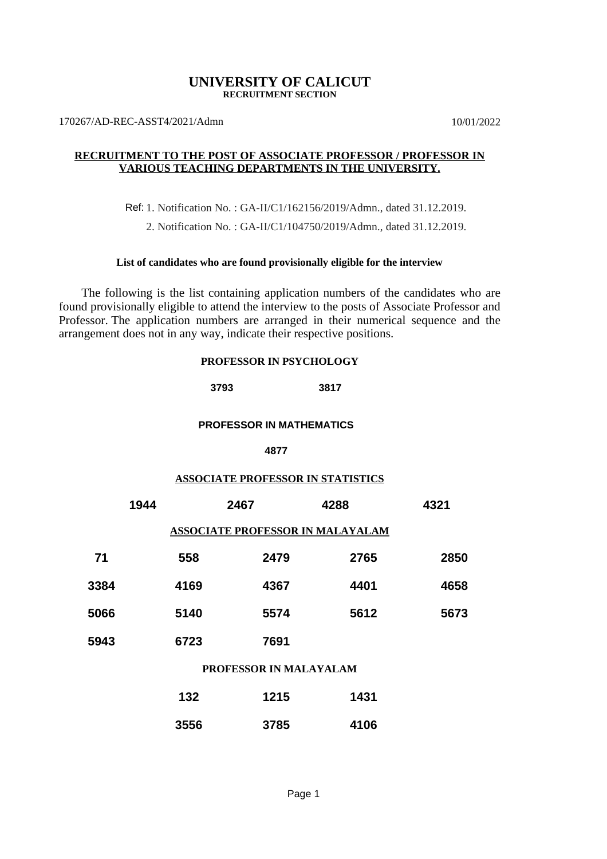### **UNIVERSITY OF CALICUT RECRUITMENT SECTION**

170267/AD-REC-ASST4/2021/Admn 10/01/2022

### **RECRUITMENT TO THE POST OF ASSOCIATE PROFESSOR / PROFESSOR IN VARIOUS TEACHING DEPARTMENTS IN THE UNIVERSITY.**

Ref: 1. Notification No. : GA-II/C1/162156/2019/Admn., dated 31.12.2019.

2. Notification No. : GA-II/C1/104750/2019/Admn., dated 31.12.2019.

### **List of candidates who are found provisionally eligible for the interview**

 The following is the list containing application numbers of the candidates who are found provisionally eligible to attend the interview to the posts of Associate Professor and Professor. The application numbers are arranged in their numerical sequence and the arrangement does not in any way, indicate their respective positions.

#### **PROFESSOR IN PSYCHOLOGY**

**3793 3817**

## **PROFESSOR IN MATHEMATICS**

#### **4877**

### **ASSOCIATE PROFESSOR IN STATISTICS**

|      | 1944                                    |      | 2467 | 4288 | 4321 |  |  |  |
|------|-----------------------------------------|------|------|------|------|--|--|--|
|      | <b>ASSOCIATE PROFESSOR IN MALAYALAM</b> |      |      |      |      |  |  |  |
| 71   |                                         | 558  | 2479 | 2765 | 2850 |  |  |  |
| 3384 |                                         | 4169 | 4367 | 4401 | 4658 |  |  |  |
| 5066 |                                         | 5140 | 5574 | 5612 | 5673 |  |  |  |
| 5943 |                                         | 6723 | 7691 |      |      |  |  |  |
|      |                                         |      |      |      |      |  |  |  |

### **PROFESSOR IN MALAYALAM**

| 132  | 1215 | 1431 |
|------|------|------|
| 3556 | 3785 | 4106 |